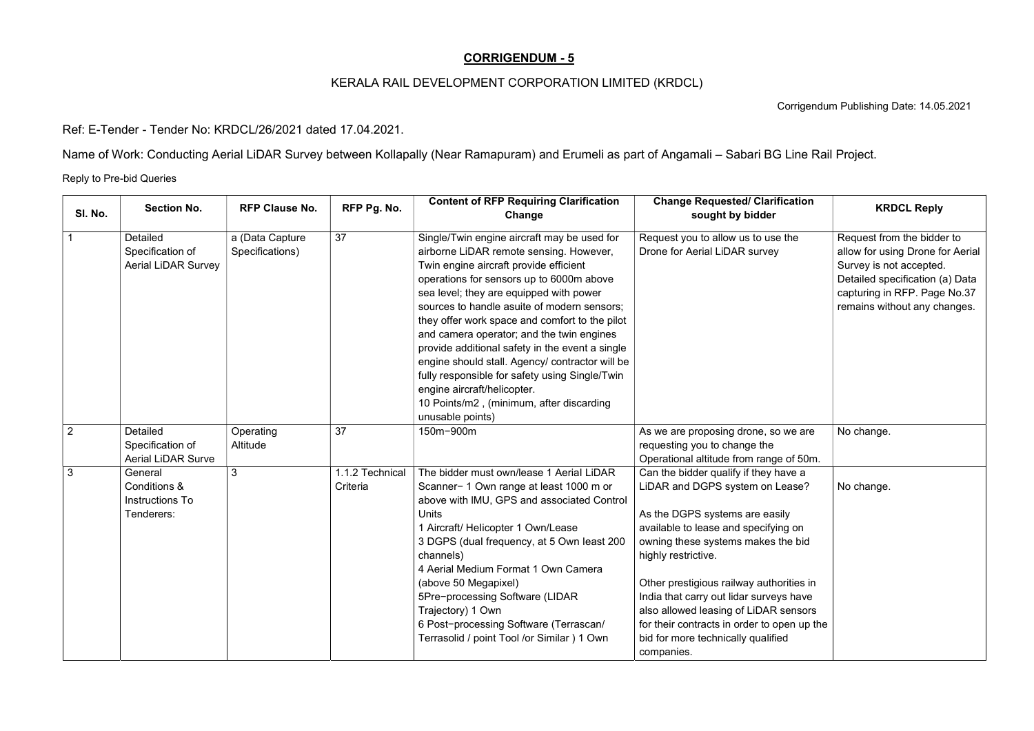## CORRIGENDUM - 5

## KERALA RAIL DEVELOPMENT CORPORATION LIMITED (KRDCL)

Corrigendum Publishing Date: 14.05.2021

Ref: E-Tender - Tender No: KRDCL/26/2021 dated 17.04.2021.

Name of Work: Conducting Aerial LiDAR Survey between Kollapally (Near Ramapuram) and Erumeli as part of Angamali – Sabari BG Line Rail Project.

Reply to Pre-bid Queries

| SI. No.        | <b>Section No.</b>                                                | <b>RFP Clause No.</b>              | RFP Pg. No.                 | <b>Content of RFP Requiring Clarification</b><br>Change                                                                                                                                                                                                                                                                                                                                                                                                                                                                                                                                                                      | <b>Change Requested/ Clarification</b><br>sought by bidder                                                                                                                                                                                                                                                                                                                                                                                         | <b>KRDCL Reply</b>                                                                                                                                                                           |
|----------------|-------------------------------------------------------------------|------------------------------------|-----------------------------|------------------------------------------------------------------------------------------------------------------------------------------------------------------------------------------------------------------------------------------------------------------------------------------------------------------------------------------------------------------------------------------------------------------------------------------------------------------------------------------------------------------------------------------------------------------------------------------------------------------------------|----------------------------------------------------------------------------------------------------------------------------------------------------------------------------------------------------------------------------------------------------------------------------------------------------------------------------------------------------------------------------------------------------------------------------------------------------|----------------------------------------------------------------------------------------------------------------------------------------------------------------------------------------------|
|                | <b>Detailed</b><br>Specification of<br><b>Aerial LiDAR Survey</b> | a (Data Capture<br>Specifications) | 37                          | Single/Twin engine aircraft may be used for<br>airborne LiDAR remote sensing. However,<br>Twin engine aircraft provide efficient<br>operations for sensors up to 6000m above<br>sea level; they are equipped with power<br>sources to handle asuite of modern sensors;<br>they offer work space and comfort to the pilot<br>and camera operator; and the twin engines<br>provide additional safety in the event a single<br>engine should stall. Agency/ contractor will be<br>fully responsible for safety using Single/Twin<br>engine aircraft/helicopter.<br>10 Points/m2, (minimum, after discarding<br>unusable points) | Request you to allow us to use the<br>Drone for Aerial LiDAR survey                                                                                                                                                                                                                                                                                                                                                                                | Request from the bidder to<br>allow for using Drone for Aerial<br>Survey is not accepted.<br>Detailed specification (a) Data<br>capturing in RFP. Page No.37<br>remains without any changes. |
| $\overline{2}$ | Detailed<br>Specification of<br><b>Aerial LiDAR Surve</b>         | Operating<br>Altitude              | 37                          | 150m-900m                                                                                                                                                                                                                                                                                                                                                                                                                                                                                                                                                                                                                    | As we are proposing drone, so we are<br>requesting you to change the<br>Operational altitude from range of 50m.                                                                                                                                                                                                                                                                                                                                    | No change.                                                                                                                                                                                   |
| $\mathbf{3}$   | General<br>Conditions &<br>Instructions To<br>Tenderers:          | 3                                  | 1.1.2 Technical<br>Criteria | The bidder must own/lease 1 Aerial LiDAR<br>Scanner-1 Own range at least 1000 m or<br>above with IMU, GPS and associated Control<br>Units<br>1 Aircraft/ Helicopter 1 Own/Lease<br>3 DGPS (dual frequency, at 5 Own least 200<br>channels)<br>4 Aerial Medium Format 1 Own Camera<br>(above 50 Megapixel)<br>5Pre-processing Software (LIDAR<br>Trajectory) 1 Own<br>6 Post-processing Software (Terrascan/<br>Terrasolid / point Tool /or Similar ) 1 Own                                                                                                                                                                   | Can the bidder qualify if they have a<br>LiDAR and DGPS system on Lease?<br>As the DGPS systems are easily<br>available to lease and specifying on<br>owning these systems makes the bid<br>highly restrictive.<br>Other prestigious railway authorities in<br>India that carry out lidar surveys have<br>also allowed leasing of LiDAR sensors<br>for their contracts in order to open up the<br>bid for more technically qualified<br>companies. | No change.                                                                                                                                                                                   |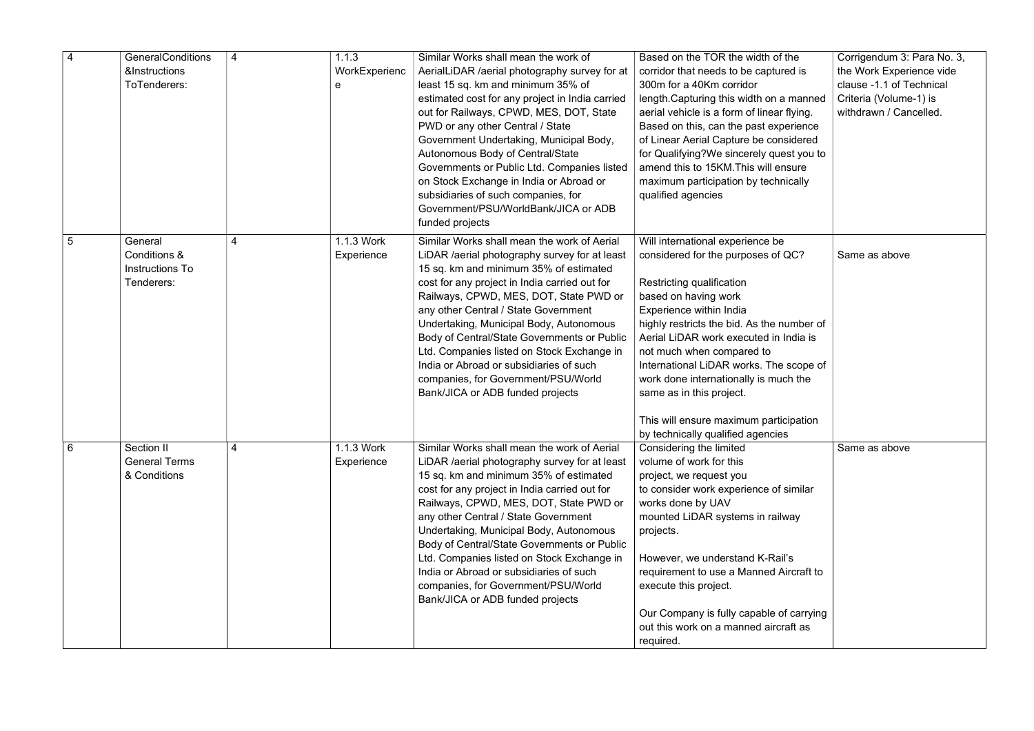| $\overline{4}$  | <b>GeneralConditions</b><br><b>&amp;Instructions</b><br>ToTenderers: | 4 | 1.1.3<br>WorkExperienc<br>e | Similar Works shall mean the work of<br>AerialLiDAR /aerial photography survey for at<br>least 15 sq. km and minimum 35% of<br>estimated cost for any project in India carried<br>out for Railways, CPWD, MES, DOT, State<br>PWD or any other Central / State<br>Government Undertaking, Municipal Body,<br>Autonomous Body of Central/State<br>Governments or Public Ltd. Companies listed<br>on Stock Exchange in India or Abroad or<br>subsidiaries of such companies, for<br>Government/PSU/WorldBank/JICA or ADB<br>funded projects | Based on the TOR the width of the<br>corridor that needs to be captured is<br>300m for a 40Km corridor<br>length. Capturing this width on a manned<br>aerial vehicle is a form of linear flying.<br>Based on this, can the past experience<br>of Linear Aerial Capture be considered<br>for Qualifying?We sincerely quest you to<br>amend this to 15KM. This will ensure<br>maximum participation by technically<br>qualified agencies      | Corrigendum 3: Para No. 3,<br>the Work Experience vide<br>clause -1.1 of Technical<br>Criteria (Volume-1) is<br>withdrawn / Cancelled. |
|-----------------|----------------------------------------------------------------------|---|-----------------------------|------------------------------------------------------------------------------------------------------------------------------------------------------------------------------------------------------------------------------------------------------------------------------------------------------------------------------------------------------------------------------------------------------------------------------------------------------------------------------------------------------------------------------------------|---------------------------------------------------------------------------------------------------------------------------------------------------------------------------------------------------------------------------------------------------------------------------------------------------------------------------------------------------------------------------------------------------------------------------------------------|----------------------------------------------------------------------------------------------------------------------------------------|
| $5\overline{5}$ | General<br>Conditions &<br>Instructions To<br>Tenderers:             | 4 | 1.1.3 Work<br>Experience    | Similar Works shall mean the work of Aerial<br>LiDAR /aerial photography survey for at least<br>15 sq. km and minimum 35% of estimated<br>cost for any project in India carried out for<br>Railways, CPWD, MES, DOT, State PWD or<br>any other Central / State Government<br>Undertaking, Municipal Body, Autonomous<br>Body of Central/State Governments or Public<br>Ltd. Companies listed on Stock Exchange in<br>India or Abroad or subsidiaries of such<br>companies, for Government/PSU/World<br>Bank/JICA or ADB funded projects  | Will international experience be<br>considered for the purposes of QC?<br>Restricting qualification<br>based on having work<br>Experience within India<br>highly restricts the bid. As the number of<br>Aerial LiDAR work executed in India is<br>not much when compared to<br>International LiDAR works. The scope of<br>work done internationally is much the<br>same as in this project.<br>This will ensure maximum participation       | Same as above                                                                                                                          |
| $6\phantom{1}6$ | Section II<br><b>General Terms</b><br>& Conditions                   | 4 | 1.1.3 Work<br>Experience    | Similar Works shall mean the work of Aerial<br>LiDAR / aerial photography survey for at least<br>15 sq. km and minimum 35% of estimated<br>cost for any project in India carried out for<br>Railways, CPWD, MES, DOT, State PWD or<br>any other Central / State Government<br>Undertaking, Municipal Body, Autonomous<br>Body of Central/State Governments or Public<br>Ltd. Companies listed on Stock Exchange in<br>India or Abroad or subsidiaries of such<br>companies, for Government/PSU/World<br>Bank/JICA or ADB funded projects | by technically qualified agencies<br>Considering the limited<br>volume of work for this<br>project, we request you<br>to consider work experience of similar<br>works done by UAV<br>mounted LiDAR systems in railway<br>projects.<br>However, we understand K-Rail's<br>requirement to use a Manned Aircraft to<br>execute this project.<br>Our Company is fully capable of carrying<br>out this work on a manned aircraft as<br>required. | Same as above                                                                                                                          |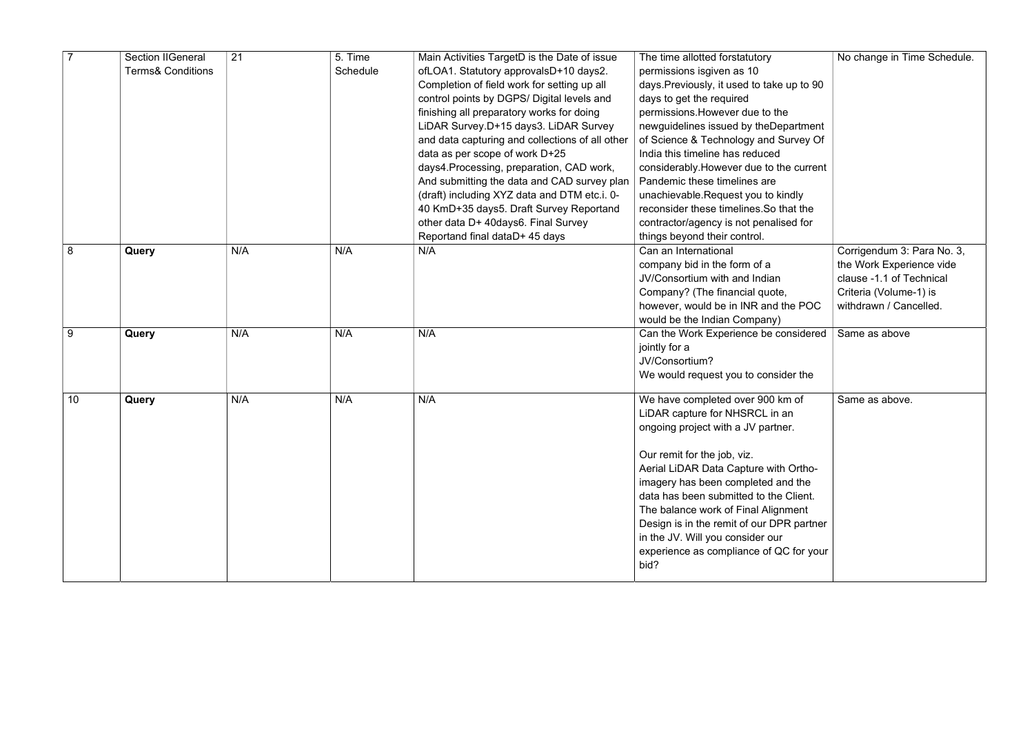|    | <b>Section IIGeneral</b>     | 21  | 5. Time  | Main Activities TargetD is the Date of issue    | The time allotted forstatutory             | No change in Time Schedule. |
|----|------------------------------|-----|----------|-------------------------------------------------|--------------------------------------------|-----------------------------|
|    | <b>Terms&amp; Conditions</b> |     | Schedule | ofLOA1. Statutory approvalsD+10 days2.          | permissions isgiven as 10                  |                             |
|    |                              |     |          | Completion of field work for setting up all     | days. Previously, it used to take up to 90 |                             |
|    |                              |     |          | control points by DGPS/ Digital levels and      | days to get the required                   |                             |
|    |                              |     |          | finishing all preparatory works for doing       | permissions. However due to the            |                             |
|    |                              |     |          | LiDAR Survey.D+15 days3. LiDAR Survey           | newguidelines issued by theDepartment      |                             |
|    |                              |     |          | and data capturing and collections of all other | of Science & Technology and Survey Of      |                             |
|    |                              |     |          | data as per scope of work D+25                  | India this timeline has reduced            |                             |
|    |                              |     |          | days4. Processing, preparation, CAD work,       | considerably. However due to the current   |                             |
|    |                              |     |          | And submitting the data and CAD survey plan     | Pandemic these timelines are               |                             |
|    |                              |     |          | (draft) including XYZ data and DTM etc.i. 0-    | unachievable.Request you to kindly         |                             |
|    |                              |     |          | 40 KmD+35 days5. Draft Survey Reportand         | reconsider these timelines. So that the    |                             |
|    |                              |     |          | other data D+ 40days6. Final Survey             | contractor/agency is not penalised for     |                             |
|    |                              |     |          | Reportand final dataD+ 45 days                  | things beyond their control.               |                             |
| 8  | Query                        | N/A | N/A      | N/A                                             | Can an International                       | Corrigendum 3: Para No. 3,  |
|    |                              |     |          |                                                 | company bid in the form of a               | the Work Experience vide    |
|    |                              |     |          |                                                 | JV/Consortium with and Indian              | clause -1.1 of Technical    |
|    |                              |     |          |                                                 | Company? (The financial quote,             | Criteria (Volume-1) is      |
|    |                              |     |          |                                                 | however, would be in INR and the POC       | withdrawn / Cancelled.      |
|    |                              |     |          |                                                 | would be the Indian Company)               |                             |
| 9  | Query                        | N/A | N/A      | N/A                                             | Can the Work Experience be considered      | Same as above               |
|    |                              |     |          |                                                 | jointly for a                              |                             |
|    |                              |     |          |                                                 | JV/Consortium?                             |                             |
|    |                              |     |          |                                                 | We would request you to consider the       |                             |
| 10 | Query                        | N/A | N/A      | N/A                                             | We have completed over 900 km of           | Same as above.              |
|    |                              |     |          |                                                 | LiDAR capture for NHSRCL in an             |                             |
|    |                              |     |          |                                                 | ongoing project with a JV partner.         |                             |
|    |                              |     |          |                                                 |                                            |                             |
|    |                              |     |          |                                                 | Our remit for the job, viz.                |                             |
|    |                              |     |          |                                                 | Aerial LiDAR Data Capture with Ortho-      |                             |
|    |                              |     |          |                                                 | imagery has been completed and the         |                             |
|    |                              |     |          |                                                 | data has been submitted to the Client.     |                             |
|    |                              |     |          |                                                 | The balance work of Final Alignment        |                             |
|    |                              |     |          |                                                 | Design is in the remit of our DPR partner  |                             |
|    |                              |     |          |                                                 | in the JV. Will you consider our           |                             |
|    |                              |     |          |                                                 | experience as compliance of QC for your    |                             |
|    |                              |     |          |                                                 | bid?                                       |                             |
|    |                              |     |          |                                                 |                                            |                             |